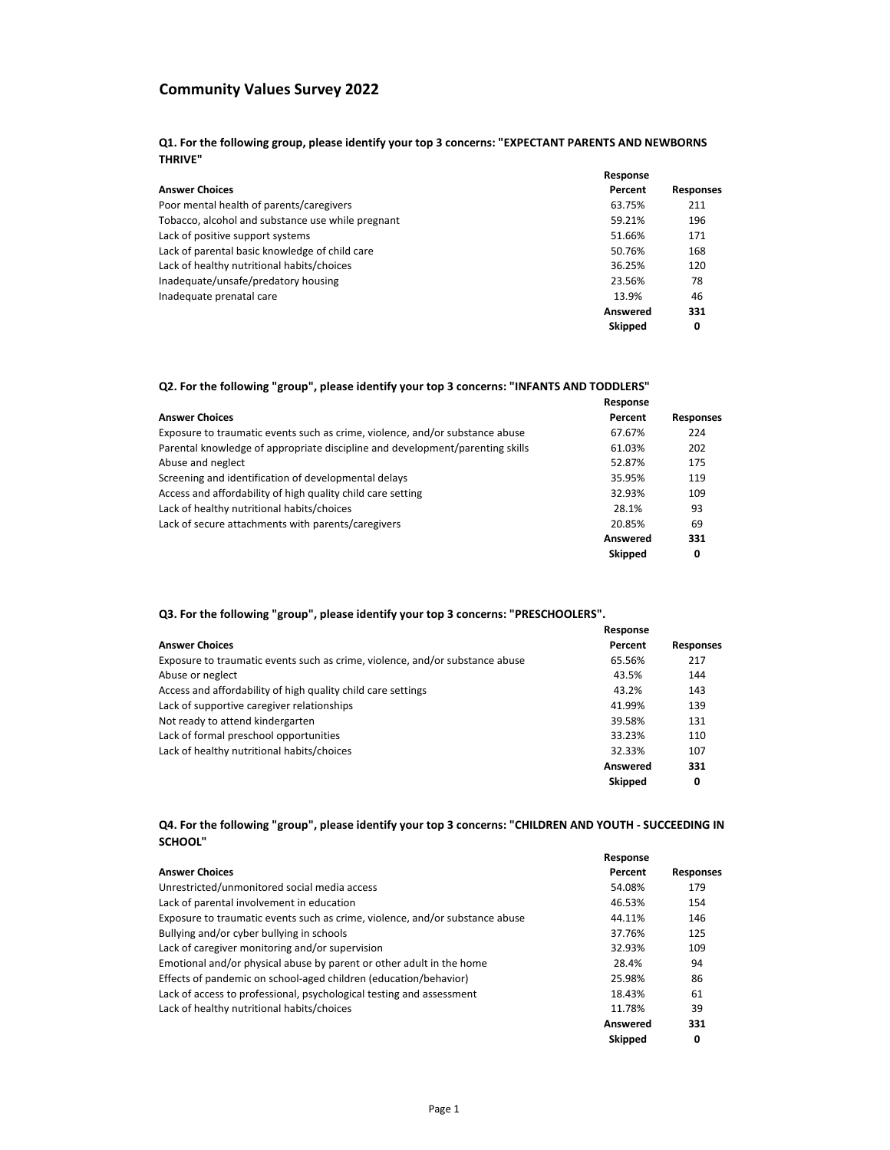#### **Q1. For the following group, please identify your top 3 concerns: "EXPECTANT PARENTS AND NEWBORNS THRIVE"**

|                                                   | Response       |                  |
|---------------------------------------------------|----------------|------------------|
| <b>Answer Choices</b>                             | Percent        | <b>Responses</b> |
| Poor mental health of parents/caregivers          | 63.75%         | 211              |
| Tobacco, alcohol and substance use while pregnant | 59.21%         | 196              |
| Lack of positive support systems                  | 51.66%         | 171              |
| Lack of parental basic knowledge of child care    | 50.76%         | 168              |
| Lack of healthy nutritional habits/choices        | 36.25%         | 120              |
| Inadequate/unsafe/predatory housing               | 23.56%         | 78               |
| Inadequate prenatal care                          | 13.9%          | 46               |
|                                                   | Answered       | 331              |
|                                                   | <b>Skipped</b> | 0                |

#### **Q2. For the following "group", please identify your top 3 concerns: "INFANTS AND TODDLERS"**

|                                                                               | Response       |                  |
|-------------------------------------------------------------------------------|----------------|------------------|
| <b>Answer Choices</b>                                                         | Percent        | <b>Responses</b> |
| Exposure to traumatic events such as crime, violence, and/or substance abuse  | 67.67%         | 224              |
| Parental knowledge of appropriate discipline and development/parenting skills | 61.03%         | 202              |
| Abuse and neglect                                                             | 52.87%         | 175              |
| Screening and identification of developmental delays                          | 35.95%         | 119              |
| Access and affordability of high quality child care setting                   | 32.93%         | 109              |
| Lack of healthy nutritional habits/choices                                    | 28.1%          | 93               |
| Lack of secure attachments with parents/caregivers                            | 20.85%         | 69               |
|                                                                               | Answered       | 331              |
|                                                                               | <b>Skipped</b> | 0                |

## **Q3. For the following "group", please identify your top 3 concerns: "PRESCHOOLERS".**

|                                                                              | Response        |                  |
|------------------------------------------------------------------------------|-----------------|------------------|
| <b>Answer Choices</b>                                                        | Percent         | <b>Responses</b> |
| Exposure to traumatic events such as crime, violence, and/or substance abuse | 65.56%          | 217              |
| Abuse or neglect                                                             | 43.5%           | 144              |
| Access and affordability of high quality child care settings                 | 43.2%           | 143              |
| Lack of supportive caregiver relationships                                   | 41.99%          | 139              |
| Not ready to attend kindergarten                                             | 39.58%          | 131              |
| Lack of formal preschool opportunities                                       | 33.23%          | 110              |
| Lack of healthy nutritional habits/choices                                   | 32.33%          | 107              |
|                                                                              | <b>Answered</b> | 331              |
|                                                                              | <b>Skipped</b>  | 0                |

### **Q4. For the following "group", please identify your top 3 concerns: "CHILDREN AND YOUTH - SUCCEEDING IN SCHOOL"**

|                                                                              | Response       |                  |
|------------------------------------------------------------------------------|----------------|------------------|
| <b>Answer Choices</b>                                                        | Percent        | <b>Responses</b> |
| Unrestricted/unmonitored social media access                                 | 54.08%         | 179              |
| Lack of parental involvement in education                                    | 46.53%         | 154              |
| Exposure to traumatic events such as crime, violence, and/or substance abuse | 44.11%         | 146              |
| Bullying and/or cyber bullying in schools                                    | 37.76%         | 125              |
| Lack of caregiver monitoring and/or supervision                              | 32.93%         | 109              |
| Emotional and/or physical abuse by parent or other adult in the home         | 28.4%          | 94               |
| Effects of pandemic on school-aged children (education/behavior)             | 25.98%         | 86               |
| Lack of access to professional, psychological testing and assessment         | 18.43%         | 61               |
| Lack of healthy nutritional habits/choices                                   | 11.78%         | 39               |
|                                                                              | Answered       | 331              |
|                                                                              | <b>Skipped</b> | 0                |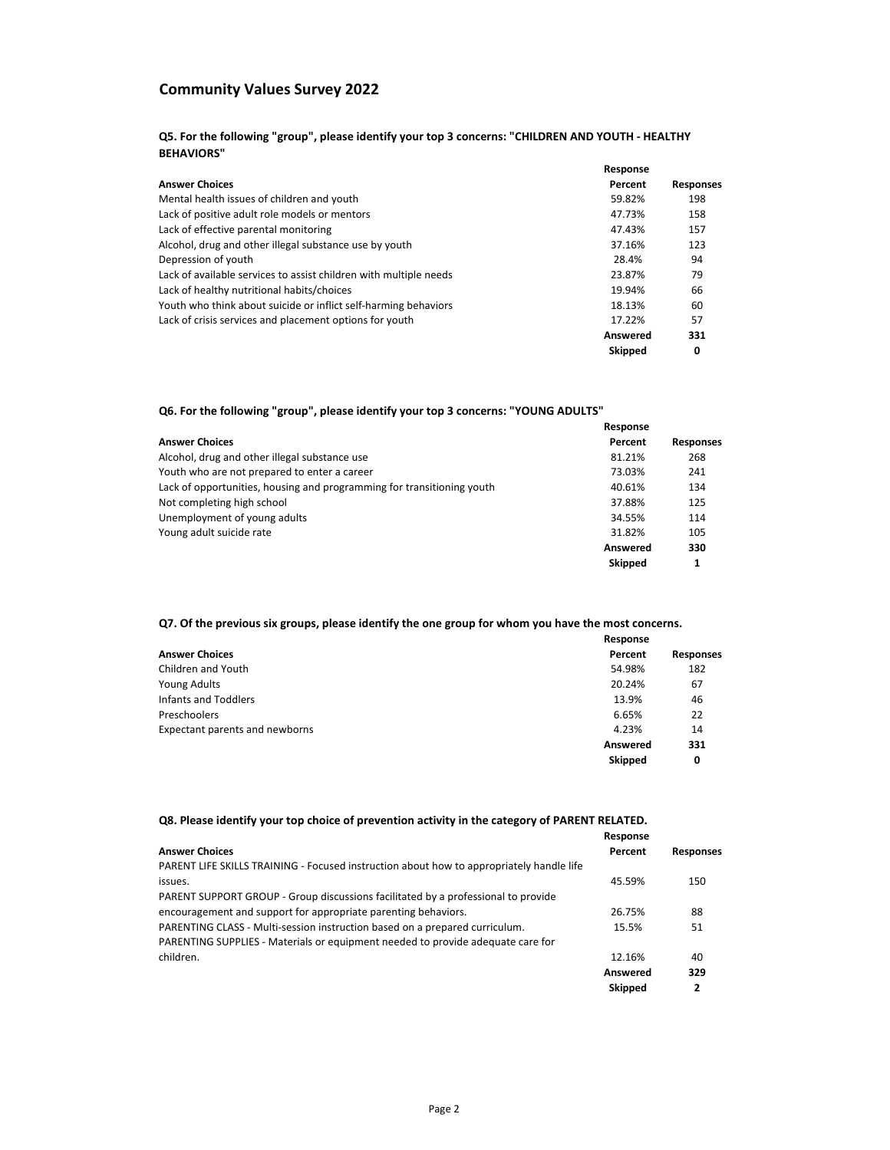**Q5. For the following "group", please identify your top 3 concerns: "CHILDREN AND YOUTH - HEALTHY BEHAVIORS"**

|                                                                   | Response |                  |
|-------------------------------------------------------------------|----------|------------------|
| <b>Answer Choices</b>                                             | Percent  | <b>Responses</b> |
| Mental health issues of children and youth                        | 59.82%   | 198              |
| Lack of positive adult role models or mentors                     | 47.73%   | 158              |
| Lack of effective parental monitoring                             | 47.43%   | 157              |
| Alcohol, drug and other illegal substance use by youth            | 37.16%   | 123              |
| Depression of youth                                               | 28.4%    | 94               |
| Lack of available services to assist children with multiple needs | 23.87%   | 79               |
| Lack of healthy nutritional habits/choices                        | 19.94%   | 66               |
| Youth who think about suicide or inflict self-harming behaviors   | 18.13%   | 60               |
| Lack of crisis services and placement options for youth           | 17.22%   | 57               |
|                                                                   | Answered | 331              |
|                                                                   | Skipped  | 0                |

### **Q6. For the following "group", please identify your top 3 concerns: "YOUNG ADULTS"**

|                                                                        | Response       |                  |
|------------------------------------------------------------------------|----------------|------------------|
| <b>Answer Choices</b>                                                  | Percent        | <b>Responses</b> |
| Alcohol, drug and other illegal substance use                          | 81.21%         | 268              |
| Youth who are not prepared to enter a career                           | 73.03%         | 241              |
| Lack of opportunities, housing and programming for transitioning youth | 40.61%         | 134              |
| Not completing high school                                             | 37.88%         | 125              |
| Unemployment of young adults                                           | 34.55%         | 114              |
| Young adult suicide rate                                               | 31.82%         | 105              |
|                                                                        | Answered       | 330              |
|                                                                        | <b>Skipped</b> |                  |

## **Q7. Of the previous six groups, please identify the one group for whom you have the most concerns.**

|                                | Response |                  |
|--------------------------------|----------|------------------|
| <b>Answer Choices</b>          | Percent  | <b>Responses</b> |
| Children and Youth             | 54.98%   | 182              |
| Young Adults                   | 20.24%   | 67               |
| Infants and Toddlers           | 13.9%    | 46               |
| Preschoolers                   | 6.65%    | 22               |
| Expectant parents and newborns | 4.23%    | 14               |
|                                | Answered | 331              |
|                                | Skipped  | 0                |

#### **Q8. Please identify your top choice of prevention activity in the category of PARENT RELATED.**

|                                                                                          | Response       |                  |
|------------------------------------------------------------------------------------------|----------------|------------------|
| <b>Answer Choices</b>                                                                    | Percent        | <b>Responses</b> |
| PARENT LIFE SKILLS TRAINING - Focused instruction about how to appropriately handle life |                |                  |
| issues.                                                                                  | 45.59%         | 150              |
| PARENT SUPPORT GROUP - Group discussions facilitated by a professional to provide        |                |                  |
| encouragement and support for appropriate parenting behaviors.                           | 26.75%         | 88               |
| PARENTING CLASS - Multi-session instruction based on a prepared curriculum.              | 15.5%          | 51               |
| PARENTING SUPPLIES - Materials or equipment needed to provide adequate care for          |                |                  |
| children.                                                                                | 12.16%         | 40               |
|                                                                                          | Answered       | 329              |
|                                                                                          | <b>Skipped</b> | 2                |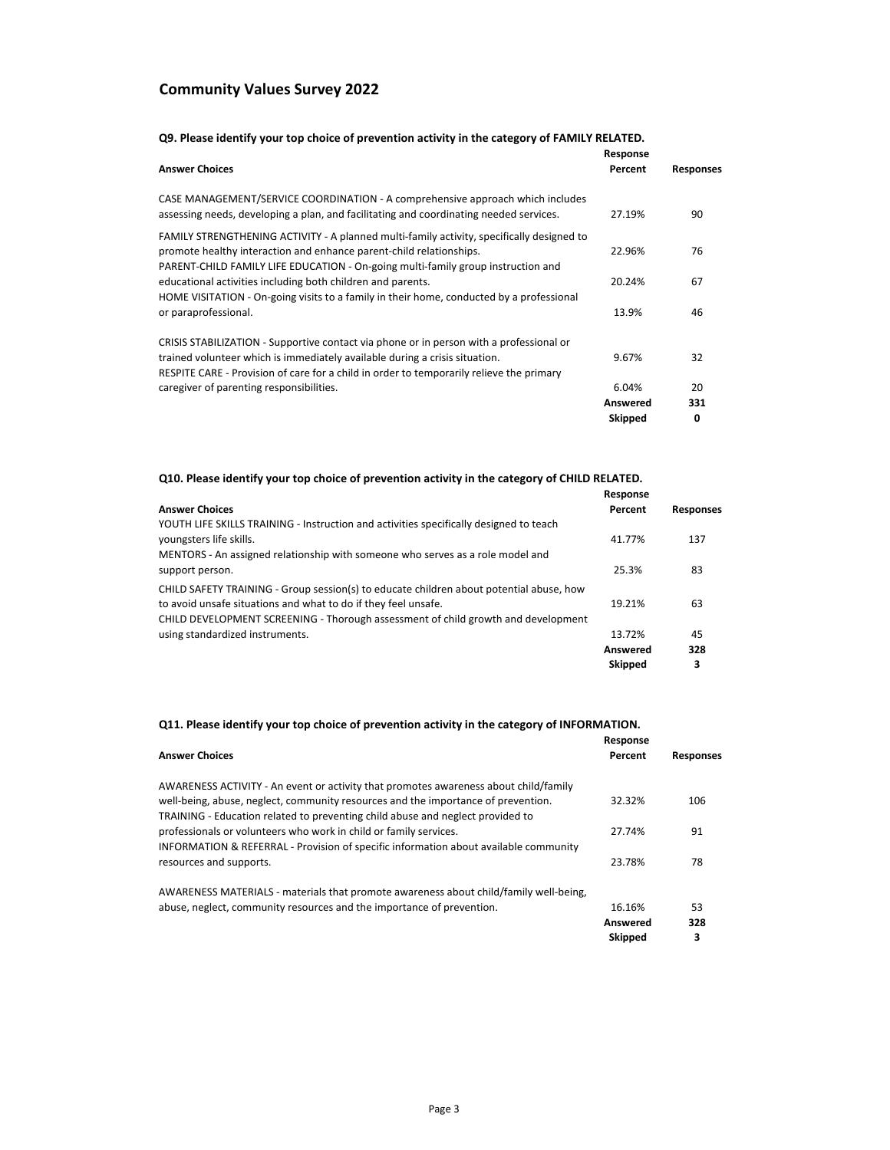|                                                                                                                                                                                                                                                      | Response       |                  |
|------------------------------------------------------------------------------------------------------------------------------------------------------------------------------------------------------------------------------------------------------|----------------|------------------|
| <b>Answer Choices</b>                                                                                                                                                                                                                                | Percent        | <b>Responses</b> |
| CASE MANAGEMENT/SERVICE COORDINATION - A comprehensive approach which includes<br>assessing needs, developing a plan, and facilitating and coordinating needed services.                                                                             | 27.19%         | 90               |
| FAMILY STRENGTHENING ACTIVITY - A planned multi-family activity, specifically designed to<br>promote healthy interaction and enhance parent-child relationships.<br>PARENT-CHILD FAMILY LIFE EDUCATION - On-going multi-family group instruction and | 22.96%         | 76               |
| educational activities including both children and parents.<br>HOME VISITATION - On-going visits to a family in their home, conducted by a professional                                                                                              | 20.24%         | 67               |
| or paraprofessional.                                                                                                                                                                                                                                 | 13.9%          | 46               |
| CRISIS STABILIZATION - Supportive contact via phone or in person with a professional or                                                                                                                                                              |                |                  |
| trained volunteer which is immediately available during a crisis situation.                                                                                                                                                                          | 9.67%          | 32               |
| RESPITE CARE - Provision of care for a child in order to temporarily relieve the primary                                                                                                                                                             |                |                  |
| caregiver of parenting responsibilities.                                                                                                                                                                                                             | 6.04%          | 20               |
|                                                                                                                                                                                                                                                      | Answered       | 331              |
|                                                                                                                                                                                                                                                      | <b>Skipped</b> | 0                |

## **Q10. Please identify your top choice of prevention activity in the category of CHILD RELATED.**

|                                                                                                                                                                                                                                                | Response                   |                  |
|------------------------------------------------------------------------------------------------------------------------------------------------------------------------------------------------------------------------------------------------|----------------------------|------------------|
| <b>Answer Choices</b>                                                                                                                                                                                                                          | Percent                    | <b>Responses</b> |
| YOUTH LIFE SKILLS TRAINING - Instruction and activities specifically designed to teach<br>youngsters life skills.                                                                                                                              | 41.77%                     | 137              |
| MENTORS - An assigned relationship with someone who serves as a role model and<br>support person.                                                                                                                                              | 25.3%                      | 83               |
| CHILD SAFETY TRAINING - Group session(s) to educate children about potential abuse, how<br>to avoid unsafe situations and what to do if they feel unsafe.<br>CHILD DEVELOPMENT SCREENING - Thorough assessment of child growth and development | 19.21%                     | 63               |
| using standardized instruments.                                                                                                                                                                                                                | 13.72%                     | 45               |
|                                                                                                                                                                                                                                                | Answered<br><b>Skipped</b> | 328<br>3         |

### **Q11. Please identify your top choice of prevention activity in the category of INFORMATION.**

|                                                                                                                                                                     | Response |                  |
|---------------------------------------------------------------------------------------------------------------------------------------------------------------------|----------|------------------|
| <b>Answer Choices</b>                                                                                                                                               | Percent  | <b>Responses</b> |
| AWARENESS ACTIVITY - An event or activity that promotes awareness about child/family                                                                                |          |                  |
| well-being, abuse, neglect, community resources and the importance of prevention.<br>TRAINING - Education related to preventing child abuse and neglect provided to | 32.32%   | 106              |
| professionals or volunteers who work in child or family services.<br>INFORMATION & REFERRAL - Provision of specific information about available community           | 27.74%   | 91               |
| resources and supports.                                                                                                                                             | 23.78%   | 78               |
| AWARENESS MATERIALS - materials that promote awareness about child/family well-being,                                                                               |          |                  |
| abuse, neglect, community resources and the importance of prevention.                                                                                               | 16.16%   | 53               |
|                                                                                                                                                                     | Answered | 328              |
|                                                                                                                                                                     | Skipped  | 3                |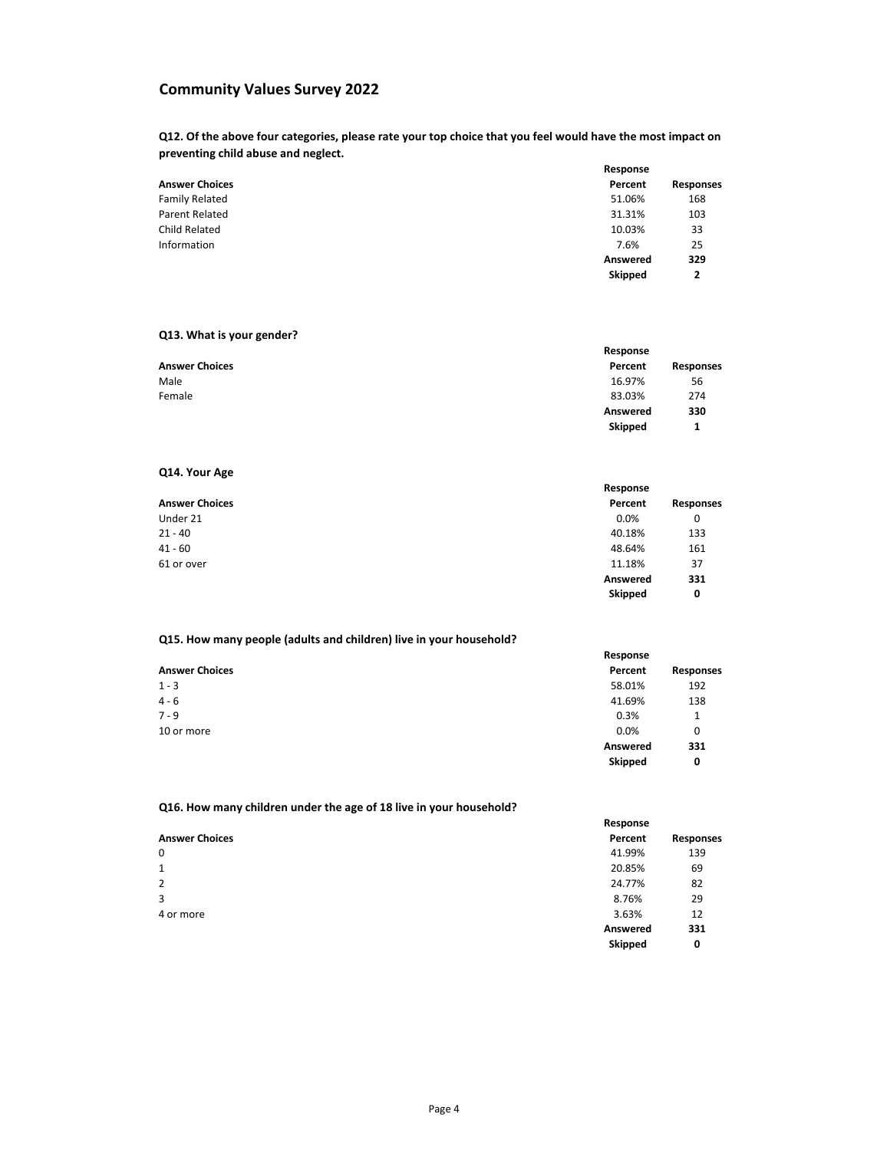**Q12. Of the above four categories, please rate your top choice that you feel would have the most impact on preventing child abuse and neglect.**

|                       | Response |                  |
|-----------------------|----------|------------------|
| <b>Answer Choices</b> | Percent  | <b>Responses</b> |
| <b>Family Related</b> | 51.06%   | 168              |
| <b>Parent Related</b> | 31.31%   | 103              |
| <b>Child Related</b>  | 10.03%   | 33               |
| Information           | 7.6%     | 25               |
|                       | Answered | 329              |
|                       | Skipped  | 2                |

## **Q13. What is your gender?**

|                       | Response |           |
|-----------------------|----------|-----------|
| <b>Answer Choices</b> | Percent  | Responses |
| Male                  | 16.97%   | 56        |
| Female                | 83.03%   | 274       |
|                       | Answered | 330       |
|                       | Skipped  |           |

## **Q14. Your Age**

|                       | Response |           |
|-----------------------|----------|-----------|
| <b>Answer Choices</b> | Percent  | Responses |
| Under 21              | 0.0%     | 0         |
| $21 - 40$             | 40.18%   | 133       |
| $41 - 60$             | 48.64%   | 161       |
| 61 or over            | 11.18%   | 37        |
|                       | Answered | 331       |
|                       | Skipped  | 0         |

### **Q15. How many people (adults and children) live in your household?**

|                       | Response       |           |
|-----------------------|----------------|-----------|
| <b>Answer Choices</b> | Percent        | Responses |
| $1 - 3$               | 58.01%         | 192       |
| $4 - 6$               | 41.69%         | 138       |
| $7 - 9$               | 0.3%           | 1         |
| 10 or more            | 0.0%           | 0         |
|                       | Answered       | 331       |
|                       | <b>Skipped</b> | 0         |

## **Q16. How many children under the age of 18 live in your household?**

|                       | Response       |                  |
|-----------------------|----------------|------------------|
| <b>Answer Choices</b> | Percent        | <b>Responses</b> |
| 0                     | 41.99%         | 139              |
| $\mathbf{1}$          | 20.85%         | 69               |
| 2                     | 24.77%         | 82               |
| 3                     | 8.76%          | 29               |
| 4 or more             | 3.63%          | 12               |
|                       | Answered       | 331              |
|                       | <b>Skipped</b> | 0                |